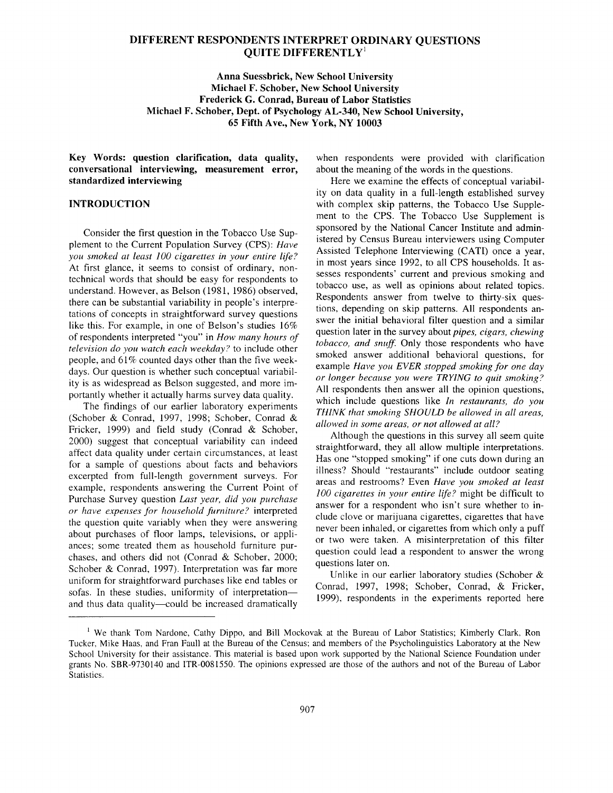### **DIFFERENT RESPONDENTS INTERPRET ORDINARY QUESTIONS QUITE DIFFERENTLY<sup>1</sup>**

**Anna Suessbrick, New School University Michael F. Schober, New School University Frederick G. Conrad, Bureau of Labor Statistics Michael F. Schober, Dept. of Psychology AL-340, New School University, 65 Fifth Ave., New York, NY 10003** 

**Key Words: question clarification, data quality, conversational interviewing, measurement error, standardized interviewing** 

### **INTRODUCTION**

Consider the first question in the Tobacco Use Supplement to the Current Population Survey (CPS): *Have you smoked at least 100 cigarettes in your entire life?*  At first glance, it seems to consist of ordinary, nontechnical words that should be easy for respondents to understand. However, as Belson (1981, 1986) observed, there can be substantial variability in people's interpretations of concepts in straightforward survey questions like this. For example, in one of Belson's studies 16% of respondents interpreted "you" in *How many hours of television do you watch each weekday ?* to include other people, and 61% counted days other than the five weekdays. Our question is whether such conceptual variability is as widespread as Belson suggested, and more importantly whether it actually harms survey data quality.

The findings of our earlier laboratory experiments (Schober & Conrad, 1997, 1998; Schober, Conrad & Fricker, 1999) and field study (Conrad & Schober, 2000) suggest that conceptual variability can indeed affect data quality under certain circumstances, at least for a sample of questions about facts and behaviors excerpted from full-length government surveys. For example, respondents answering the Current Point of Purchase Survey question *Last year, did you purchase or have expenses for household furniture?* interpreted the question quite variably when they were answering about purchases of floor lamps, televisions, or appliances; some treated them as household furniture purchases, and others did not (Conrad & Schober, 2000; Schober & Conrad, 1997). Interpretation was far more uniform for straightforward purchases like end tables or sofas. In these studies, uniformity of interpretation-and thus data quality-could be increased dramatically

when respondents were provided with clarification about the meaning of the words in the questions.

Here we examine the effects of conceptual variability on data quality in a full-length established survey with complex skip patterns, the Tobacco Use Supplement to the CPS. The Tobacco Use Supplement is sponsored by the National Cancer Institute and administered by Census Bureau interviewers using Computer Assisted Telephone Interviewing (CATI) once a year, in most years since 1992, to all CPS households. It assesses respondents' current and previous smoking and tobacco use, as well as opinions about related topics. Respondents answer from twelve to thirty-six questions, depending on skip patterns. All respondents answer the initial behavioral filter question and a similar question later in the survey about *pipes, cigars, chewing tobacco, and snuff.* Only those respondents who have smoked answer additional behavioral questions, for example *Have you EVER stopped smoking for one day or longer because you were TRYING to quit smoking ?*  All respondents then answer all the opinion questions, which include questions like *In restaurants, do you THINK that smoking SHOULD be allowed in all areas, allowed in some areas, or not allowed at all?* 

Although the questions in this survey all seem quite straightforward, they all allow multiple interpretations. Has one "stopped smoking" if one cuts down during an illness? Should "restaurants" include outdoor seating areas and restrooms? Even *Have you smoked at least 100 cigarettes in your entire life?* might be difficult to answer for a respondent who isn't sure whether to include clove or marijuana cigarettes, cigarettes that have never been inhaled, or cigarettes from which only a puff or two were taken. A misinterpretation of this filter question could lead a respondent to answer the wrong questions later on.

Unlike in our earlier laboratory studies (Schober & Conrad, 1997, 1998; Schober, Conrad, & Fricker, 1999), respondents in the experiments reported here

<sup>&</sup>lt;sup>1</sup> We thank Tom Nardone, Cathy Dippo, and Bill Mockovak at the Bureau of Labor Statistics; Kimberly Clark, Ron Tucker, Mike Haas, and Fran Faull at the Bureau of the Census; and members of the Psycholinguistics Laboratory at the New School University for their assistance. This material is based upon work supported by the National Science Foundation under grants No. SBR-9730140 and ITR-0081550. The opinions expressed are those of the authors and not of the Bureau of Labor Statistics.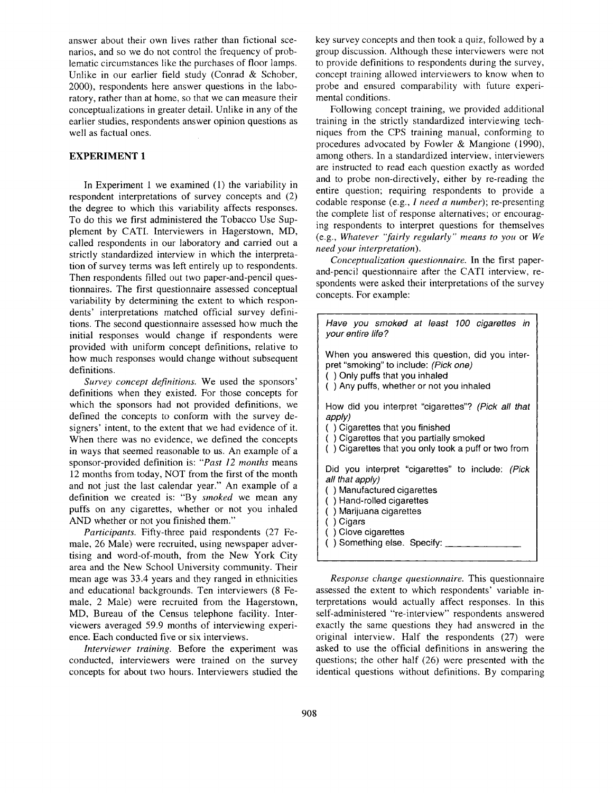answer about their own lives rather than fictional scenarios, and so we do not control the frequency of problematic circumstances like the purchases of floor lamps. Unlike in our earlier field study (Conrad & Schober, 2000), respondents here answer questions in the laboratory, rather than at home, so that we can measure their conceptualizations in greater detail. Unlike in any of the earlier studies, respondents answer opinion questions as well as factual ones.

# **EXPERIMENT 1**

In Experiment 1 we examined (1) the variability in respondent interpretations of survey concepts and (2) the degree to which this variability affects responses. To do this we first administered the Tobacco Use Supplement by CATI. Interviewers in Hagerstown, MD, called respondents in our laboratory and carried out a strictly standardized interview in which the interpretation of survey terms was left entirely up to respondents. Then respondents filled out two paper-and-pencil questionnaires. The first questionnaire assessed conceptual variability by determining the extent to which respondents' interpretations matched official survey definitions. The second questionnaire assessed how much the initial responses would change if respondents were provided with uniform concept definitions, relative to how much responses would change without subsequent definitions.

*Survey concept definitions.* We used the sponsors' definitions when they existed. For those concepts for which the sponsors had not provided definitions, we defined the concepts to conform with the survey designers' intent, to the extent that we had evidence of it. When there was no evidence, we defined the concepts in ways that seemed reasonable to us. An example of a sponsor-provided definition is: *"Past 12 months* means 12 months from today, NOT from the first of the month and not just the last calendar year." An example of a definition we created is: "By *smoked* we mean any puffs on any cigarettes, whether or not you inhaled AND whether or not you finished them."

*Participants.* Fifty-three paid respondents (27 Female, 26 Male) were recruited, using newspaper advertising and word-of-mouth, from the New York City area and the New School University community. Their mean age was 33.4 years and they ranged in ethnicities and educational backgrounds. Ten interviewers (8 Female, 2 Male) were recruited from the Hagerstown, MD, Bureau of the Census telephone facility. Interviewers averaged 59.9 months of interviewing experience. Each conducted five or six interviews.

*Interviewer training.* Before the experiment was conducted, interviewers were trained on the survey concepts for about two hours. Interviewers studied the key survey concepts and then took a quiz, followed by a group discussion. Although these interviewers were not to provide definitions to respondents during the survey, concept training allowed interviewers to know when to probe and ensured comparability with future experimental conditions.

Following concept training, we provided additional training in the strictly standardized interviewing techniques from the CPS training manual, conforming to procedures advocated by Fowler & Mangione (1990), among others. In a standardized interview, interviewers are instructed to read each question exactly as worded and to probe non-directively, either by re-reading the entire question; requiring respondents to provide a codable response (e.g., *I need a number);* re-presenting the complete list of response alternatives; or encouraging respondents to interpret questions for themselves (e.g., *Whatever "fairly regularly" means to you* or *We need your interpretation).* 

*Conceptualization questionnaire.* In the first paperand-pencil questionnaire after the CATI interview, respondents were asked their interpretations of the survey concepts. For example:

| Have you smoked at least 100 cigarettes in<br>your entire life?                                                                                                                                                          |  |  |
|--------------------------------------------------------------------------------------------------------------------------------------------------------------------------------------------------------------------------|--|--|
| When you answered this question, did you inter-<br>pret "smoking" to include: (Pick one)<br>() Only puffs that you inhaled<br>() Any puffs, whether or not you inhaled                                                   |  |  |
| How did you interpret "cigarettes"? (Pick all that<br>apply)<br>() Cigarettes that you finished<br>() Cigarettes that you partially smoked<br>() Cigarettes that you only took a puff or two from                        |  |  |
| Did you interpret "cigarettes" to include: (Pick<br>all that apply)<br>() Manufactured cigarettes<br>() Hand-rolled cigarettes<br>() Marijuana cigarettes<br>) Cigars<br>Clove cigarettes<br>() Something else. Specify: |  |  |

*Response change questionnaire.* This questionnaire assessed the extent to which respondents' variable interpretations would actually affect responses. In this self-administered "re-interview" respondents answered exactly the same questions they had answered in the original interview. Half the respondents (27) were asked to use the official definitions in answering the questions; the other half (26) were presented with the identical questions without definitions. By comparing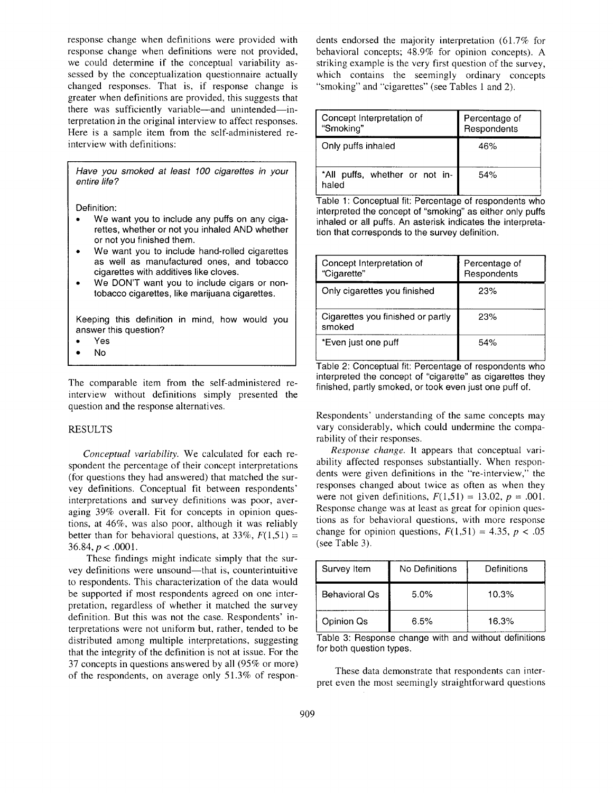response change when definitions were provided with response change when definitions were not provided, we could determine if the conceptual variability assessed by the conceptualization questionnaire actually changed responses. That is, if response change is greater when definitions are provided, this suggests that there was sufficiently variable—and unintended—interpretation in the original interview to affect responses. Here is a sample item from the self-administered reinterview with definitions:

*Have you smoked at least 100 cigarettes in your entire life ?* 

**Definition:** 

- We want you to include any puffs on any cigarettes, whether or not you inhaled AND whether or not you finished them.
- We want you to include hand-rolled cigarettes as well as manufactured ones, and tobacco cigarettes with additives like cloves.
- We DON'T want you to include cigars or nontobacco cigarettes, like marijuana cigarettes.

Keeping this definition in mind, how would you answer this question?

- Yes
- **No**

The comparable item from the self-administered reinterview without definitions simply presented the question and the response alternatives.

#### RESULTS

*Conceptual variability.* We calculated for each respondent the percentage of their concept interpretations (for questions they had answered) that matched the survey definitions. Conceptual fit between respondents' interpretations and survey definitions was poor, averaging 39% overall. Fit for concepts in opinion questions, at 46%, was also poor, although it was reliably better than for behavioral questions, at  $33\%$ ,  $F(1,51) =$ 36.84,  $p < .0001$ .

These findings might indicate simply that the survey definitions were unsound—that is, counterintuitive to respondents. This characterization of the data would be supported if most respondents agreed on one interpretation, regardless of whether it matched the survey definition. But this was not the case. Respondents' interpretations were not uniform but, rather, tended to be distributed among multiple interpretations, suggesting that the integrity of the definition is not at issue. For the 37 concepts in questions answered by all (95% or more) of the respondents, on average only 51.3% of respondents endorsed the majority interpretation (61.7% for behavioral concepts; 48.9% for opinion concepts). A striking example is the very first question of the survey, which contains the seemingly ordinary concepts "smoking" and "cigarettes" (see Tables 1 and 2).

| Concept Interpretation of<br>"Smoking"  | Percentage of<br>Respondents |
|-----------------------------------------|------------------------------|
| Only puffs inhaled                      | 46%                          |
| *All puffs, whether or not in-<br>haled | 54%                          |

Table 1: Conceptual fit: Percentage of respondents who interpreted the concept of "smoking" as either only puffs inhaled or all puffs. An asterisk indicates the interpretation that corresponds to the survey definition.

| Concept Interpretation of<br>"Cigarette"    | Percentage of<br>Respondents |
|---------------------------------------------|------------------------------|
| Only cigarettes you finished                | 23%                          |
| Cigarettes you finished or partly<br>smoked | 23%                          |
| *Even just one puff                         | 54%                          |

Table 2: Conceptual fit: Percentage of respondents who interpreted the concept of "cigarette" as cigarettes they finished, partly smoked, or took even just one puff of.

Respondents' understanding of the same concepts may vary considerably, which could undermine the comparability of their responses.

*Response change.* It appears that conceptual variability affected responses substantially. When respondents were given definitions in the "re-interview," the responses changed about twice as often as when they were not given definitions,  $F(1,51) = 13.02$ ,  $p = .001$ . Response change was at least as great for opinion questions as for behavioral questions, with more response change for opinion questions,  $F(1,51) = 4.35$ ,  $p < .05$ (see Table 3).

| Survey Item          | No Definitions | Definitions |
|----------------------|----------------|-------------|
| <b>Behavioral Qs</b> | 5.0%           | 10.3%       |
| Opinion Qs           | 6.5%           | 16.3%       |

Table 3: Response change with and without definitions for both question types.

These data demonstrate that respondents can interpret even the most seemingly straightforward questions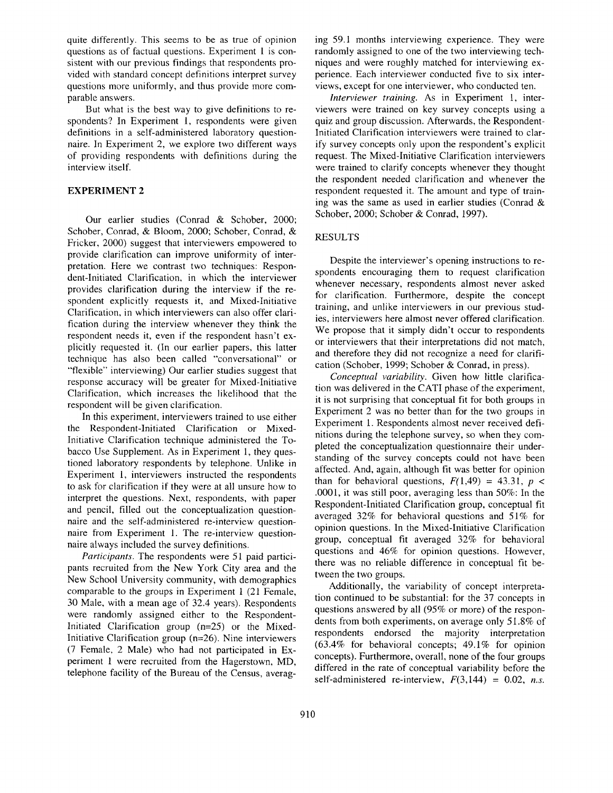quite differently. This seems to be as true of opinion questions as of factual questions. Experiment 1 is consistent with our previous findings that respondents provided with standard concept definitions interpret survey questions more uniformly, and thus provide more comparable answers.

But what is the best way to give definitions to respondents? In Experiment 1, respondents were given definitions in a self-administered laboratory questionnaire. In Experiment 2, we explore two different ways of providing respondents with definitions during the interview itself.

## **EXPERIMENT 2**

Our earlier studies (Conrad & Schober, 2000; Schober, Conrad, & Bloom, 2000; Schober, Conrad, & Fricker, 2000) suggest that interviewers empowered to provide clarification can improve uniformity of interpretation. Here we contrast two techniques: Respondent-Initiated Clarification, in which the interviewer provides clarification during the interview if the respondent explicitly requests it, and Mixed-Initiative Clarification, in which interviewers can also offer clarification during the interview whenever they think the respondent needs it, even if the respondent hasn't explicitly requested it. (In our earlier papers, this latter technique has also been called "conversational" or "flexible" interviewing) Our earlier studies suggest that response accuracy will be greater for Mixed-Initiative Clarification, which increases the likelihood that the respondent will be given clarification.

In this experiment, interviewers trained to use either the Respondent-Initiated Clarification or Mixed-Initiative Clarification technique administered the Tobacco Use Supplement. As in Experiment 1, they questioned laboratory respondents by telephone. Unlike in Experiment 1, interviewers instructed the respondents to ask for clarification if they were at all unsure how to interpret the questions. Next, respondents, with paper and pencil, filled out the conceptualization questionnaire and the self-administered re-interview questionnaire from Experiment 1. The re-interview questionnaire always included the survey definitions.

*Participants.* The respondents were 51 paid participants recruited from the New York City area and the New School University community, with demographics comparable to the groups in Experiment 1 (21 Female, 30 Male, with a mean age of 32.4 years). Respondents were randomly assigned either to the Respondent-Initiated Clarification group (n=25) or the Mixed-Initiative Clarification group (n=26). Nine interviewers (7 Female, 2 Male) who had not participated in Experiment 1 were recruited from the Hagerstown, MD, telephone facility of the Bureau of the Census, averaging 59.1 months interviewing experience. They were randomly assigned to one of the two interviewing techniques and were roughly matched for interviewing experience. Each interviewer conducted five to six interviews, except for one interviewer, who conducted ten.

*Interviewer training.* As in Experiment 1, interviewers were trained on key survey concepts using a quiz and group discussion. Afterwards, the Respondent-Initiated Clarification interviewers were trained to clarify survey concepts only upon the respondent's explicit request. The Mixed-Initiative Clarification interviewers were trained to clarify concepts whenever they thought the respondent needed clarification and whenever the respondent requested it. The amount and type of training was the same as used in earlier studies (Conrad & Schober, 2000; Schober & Conrad, 1997).

# RESULTS

Despite the interviewer's opening instructions to respondents encouraging them to request clarification whenever necessary, respondents almost never asked for clarification. Furthermore, despite the concept training, and unlike interviewers in our previous studies, interviewers here almost never offered clarification. We propose that it simply didn't occur to respondents or interviewers that their interpretations did not match, and therefore they did not recognize a need for clarification (Schober, 1999; Schober & Conrad, in press).

*Conceptual variability.* Given how little clarification was delivered in the CATI phase of the experiment, it is not surprising that conceptual fit for both groups in Experiment 2 was no better than for the two groups in Experiment 1. Respondents almost never received definitions during the telephone survey, so when they completed the conceptualization questionnaire their understanding of the survey concepts could not have been affected. And, again, although fit was better for opinion than for behavioral questions,  $F(1,49) = 43.31$ ,  $p <$ .0001, it was still poor, averaging less than 50%: In the Respondent-Initiated Clarification group, conceptual fit averaged 32% for behavioral questions and 51% for opinion questions. In the Mixed-Initiative Clarification group, conceptual fit averaged 32% for behavioral questions and 46% for opinion questions. However, there was no reliable difference in conceptual fit between the two groups.

Additionally, the variability of concept interpretation continued to be substantial: for the 37 concepts in questions answered by all (95% or more) of the respondents from both experiments, on average only 51.8% of respondents endorsed the majority interpretation (63.4% for behavioral concepts; 49.1% for opinion concepts). Furthermore, overall, none of the four groups differed in the rate of conceptual variability before the self-administered re-interview,  $F(3,144) = 0.02$ , *n.s.*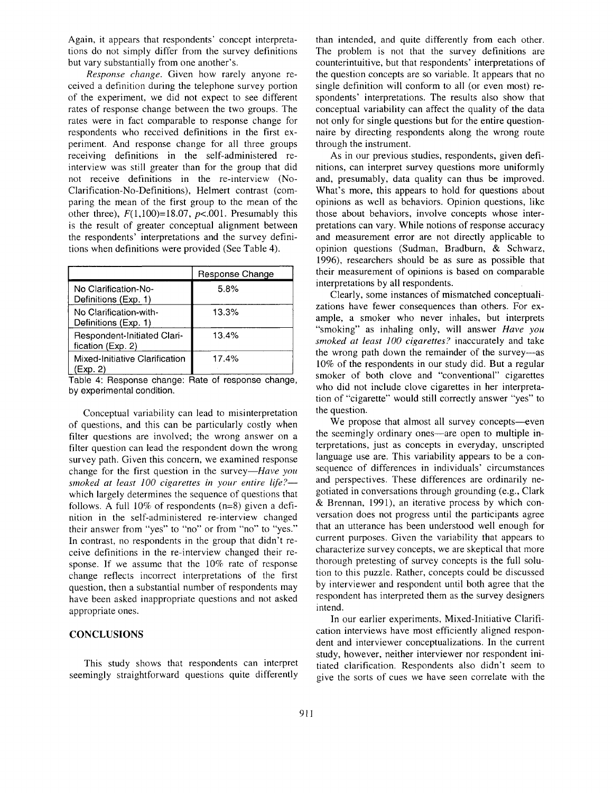Again, it appears that respondents' concept interpretations do not simply differ from the survey definitions but vary substantially from one another's.

*Response change.* Given how rarely anyone received a definition during the telephone survey portion of the experiment, we did not expect to see different rates of response change between the two groups. The rates were in fact comparable to response change for respondents who received definitions in the first experiment. And response change for all three groups receiving definitions in the self-administered reinterview was still greater than for the group that did not receive definitions in the re-interview (No-Clarification-No-Definitions), Helmert contrast (comparing the mean of the first group to the mean of the other three),  $F(1,100)=18.07$ ,  $p<.001$ . Presumably this is the result of greater conceptual alignment between the respondents' interpretations and the survey definitions when definitions were provided (See Table 4).

|                                                  | Response Change |
|--------------------------------------------------|-----------------|
| No Clarification-No-<br>Definitions (Exp. 1)     | 5.8%            |
| No Clarification-with-<br>Definitions (Exp. 1)   | 13.3%           |
| Respondent-Initiated Clari-<br>fication (Exp. 2) | 13.4%           |
| Mixed-Initiative Clarification<br>(Exp. 2)       | 17.4%           |

Table 4: Response change: Rate of response change, by experimental condition.

Conceptual variability can lead to misinterpretation of questions, and this can be particularly costly when filter questions are involved; the wrong answer on a filter question can lead the respondent down the wrong survey path. Given this concern, we examined response change for the first question in the *survey--Have you smoked at least 100 cigarettes in your entire life?*  which largely determines the sequence of questions that follows. A full 10% of respondents (n=8) given a definition in the self-administered re-interview changed their answer from "yes" to "no" or from "no" to "yes." In contrast, no respondents in the group that didn't receive definitions in the re-interview changed their response. If we assume that the 10% rate of response change reflects incorrect interpretations of the first question, then a substantial number of respondents may have been asked inappropriate questions and not asked appropriate ones.

## **CONCLUSIONS**

This study shows that respondents can interpret seemingly straightforward questions quite differently

than intended, and quite differently from each other. The problem is not that the survey definitions are counterintuitive, but that respondents' interpretations of the question concepts are so variable. It appears that no single definition will conform to all (or even most) respondents' interpretations. The results also show that conceptual variability can affect the quality of the data not only for single questions but for the entire questionnaire by directing respondents along the wrong route through the instrument.

As in our previous studies, respondents, given definitions, can interpret survey questions more uniformly and, presumably, data quality can thus be improved. What's more, this appears to hold for questions about opinions as well as behaviors. Opinion questions, like those about behaviors, involve concepts whose interpretations can vary. While notions of response accuracy and measurement error are not directly applicable to opinion questions (Sudman, Bradburn, & Schwarz, 1996), researchers should be as sure as possible that their measurement of opinions is based on comparable interpretations by all respondents.

Clearly, some instances of mismatched conceptualizations have fewer consequences than others. For example, a smoker who never inhales, but interprets "smoking" as inhaling only, will answer *Have you smoked at least 100 cigarettes?* inaccurately and take the wrong path down the remainder of the survey---as 10% of the respondents in our study did. But a regular smoker of both clove and "conventional" cigarettes who did not include clove cigarettes in her interpretation of "cigarette" would still correctly answer "yes" to the question.

We propose that almost all survey concepts--even the seemingly ordinary ones—are open to multiple interpretations, just as concepts in everyday, unscripted language use are. This variability appears to be a consequence of differences in individuals' circumstances and perspectives. These differences are ordinarily negotiated in conversations through grounding (e.g., Clark & Brennan, 1991), an iterative process by which conversation does not progress until the participants agree that an utterance has been understood well enough for current purposes. Given the variability that appears to characterize survey concepts, we are skeptical that more thorough pretesting of survey concepts is the full solution to this puzzle. Rather, concepts could be discussed by interviewer and respondent until both agree that the respondent has interpreted them as the survey designers intend.

In our earlier experiments, Mixed-Initiative Clarification interviews have most efficiently aligned respondent and interviewer conceptualizations. In the current study, however, neither interviewer nor respondent initiated clarification. Respondents also didn't seem to give the sorts of cues we have seen correlate with the